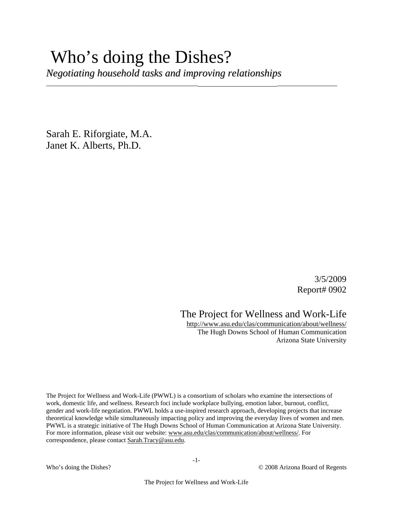# Who's doing the Dishes?

*Negotiating household tasks and improving relationships*

\_\_\_\_\_\_\_\_\_\_\_\_\_\_\_\_\_\_\_\_\_\_\_\_\_\_\_\_\_\_\_\_\_\_\_\_\_\_\_\_\_\_\_ \_\_\_\_\_\_\_\_\_\_\_\_\_\_\_\_\_

Sarah E. Riforgiate, M.A. Janet K. Alberts, Ph.D.

> 3/5/2009 Report# 0902

The Project for Wellness and Work-Life

http://www.asu.edu/clas/communication/about/wellness/ The Hugh Downs School of Human Communication Arizona State University

The Project for Wellness and Work-Life (PWWL) is a consortium of scholars who examine the intersections of work, domestic life, and wellness. Research foci include workplace bullying, emotion labor, burnout, conflict, gender and work-life negotiation. PWWL holds a use-inspired research approach, developing projects that increase theoretical knowledge while simultaneously impacting policy and improving the everyday lives of women and men. PWWL is a strategic initiative of The Hugh Downs School of Human Communication at Arizona State University. For more information, please visit our website: www.asu.edu/clas/communication/about/wellness/. For correspondence, please contact Sarah.Tracy@asu.edu.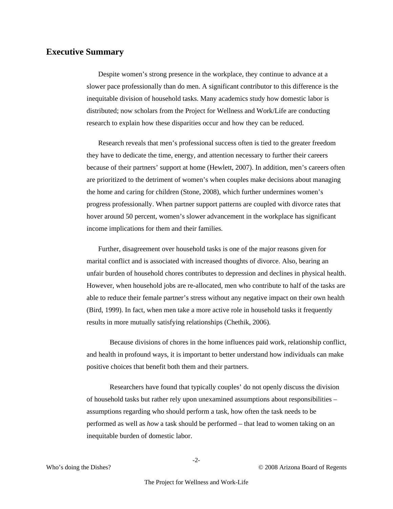#### **Executive Summary**

Despite women's strong presence in the workplace, they continue to advance at a slower pace professionally than do men. A significant contributor to this difference is the inequitable division of household tasks. Many academics study how domestic labor is distributed; now scholars from the Project for Wellness and Work/Life are conducting research to explain how these disparities occur and how they can be reduced.

Research reveals that men's professional success often is tied to the greater freedom they have to dedicate the time, energy, and attention necessary to further their careers because of their partners' support at home (Hewlett, 2007). In addition, men's careers often are prioritized to the detriment of women's when couples make decisions about managing the home and caring for children (Stone, 2008), which further undermines women's progress professionally. When partner support patterns are coupled with divorce rates that hover around 50 percent, women's slower advancement in the workplace has significant income implications for them and their families.

Further, disagreement over household tasks is one of the major reasons given for marital conflict and is associated with increased thoughts of divorce. Also, bearing an unfair burden of household chores contributes to depression and declines in physical health. However, when household jobs are re-allocated, men who contribute to half of the tasks are able to reduce their female partner's stress without any negative impact on their own health (Bird, 1999). In fact, when men take a more active role in household tasks it frequently results in more mutually satisfying relationships (Chethik, 2006).

Because divisions of chores in the home influences paid work, relationship conflict, and health in profound ways, it is important to better understand how individuals can make positive choices that benefit both them and their partners.

Researchers have found that typically couples' do not openly discuss the division of household tasks but rather rely upon unexamined assumptions about responsibilities – assumptions regarding who should perform a task, how often the task needs to be performed as well as *how* a task should be performed – that lead to women taking on an inequitable burden of domestic labor.

-2-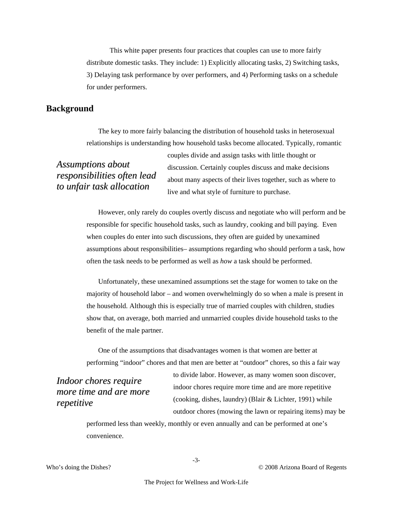This white paper presents four practices that couples can use to more fairly distribute domestic tasks. They include: 1) Explicitly allocating tasks, 2) Switching tasks, 3) Delaying task performance by over performers, and 4) Performing tasks on a schedule for under performers.

#### **Background**

The key to more fairly balancing the distribution of household tasks in heterosexual relationships is understanding how household tasks become allocated. Typically, romantic

# *Assumptions about responsibilities often lead to unfair task allocation*

couples divide and assign tasks with little thought or discussion. Certainly couples discuss and make decisions about many aspects of their lives together, such as where to live and what style of furniture to purchase.

However, only rarely do couples overtly discuss and negotiate who will perform and be responsible for specific household tasks, such as laundry, cooking and bill paying. Even when couples do enter into such discussions, they often are guided by unexamined assumptions about responsibilities– assumptions regarding who should perform a task, how often the task needs to be performed as well as *how* a task should be performed.

Unfortunately, these unexamined assumptions set the stage for women to take on the majority of household labor – and women overwhelmingly do so when a male is present in the household. Although this is especially true of married couples with children, studies show that, on average, both married and unmarried couples divide household tasks to the benefit of the male partner.

One of the assumptions that disadvantages women is that women are better at performing "indoor" chores and that men are better at "outdoor" chores, so this a fair way

*Indoor chores require more time and are more repetitive*

to divide labor. However, as many women soon discover, indoor chores require more time and are more repetitive (cooking, dishes, laundry) (Blair & Lichter, 1991) while outdoor chores (mowing the lawn or repairing items) may be

performed less than weekly, monthly or even annually and can be performed at one's convenience.

Who's doing the Dishes? © 2008 Arizona Board of Regents

-3-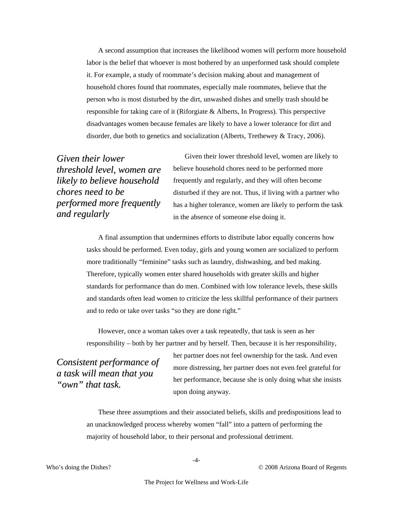A second assumption that increases the likelihood women will perform more household labor is the belief that whoever is most bothered by an unperformed task should complete it. For example, a study of roommate's decision making about and management of household chores found that roommates, especially male roommates, believe that the person who is most disturbed by the dirt, unwashed dishes and smelly trash should be responsible for taking care of it (Riforgiate & Alberts, In Progress). This perspective disadvantages women because females are likely to have a lower tolerance for dirt and disorder, due both to genetics and socialization (Alberts, Trethewey & Tracy, 2006).

*Given their lower threshold level, women are likely to believe household chores need to be performed more frequently and regularly*

Given their lower threshold level, women are likely to believe household chores need to be performed more frequently and regularly, and they will often become disturbed if they are not. Thus, if living with a partner who has a higher tolerance, women are likely to perform the task in the absence of someone else doing it.

A final assumption that undermines efforts to distribute labor equally concerns how tasks should be performed. Even today, girls and young women are socialized to perform more traditionally "feminine" tasks such as laundry, dishwashing, and bed making. Therefore, typically women enter shared households with greater skills and higher standards for performance than do men. Combined with low tolerance levels, these skills and standards often lead women to criticize the less skillful performance of their partners and to redo or take over tasks "so they are done right."

However, once a woman takes over a task repeatedly, that task is seen as her responsibility – both by her partner and by herself. Then, because it is her responsibility,

*Consistent performance of a task will mean that you "own" that task.*

her partner does not feel ownership for the task. And even more distressing, her partner does not even feel grateful for her performance, because she is only doing what she insists upon doing anyway.

These three assumptions and their associated beliefs, skills and predispositions lead to an unacknowledged process whereby women "fall" into a pattern of performing the majority of household labor, to their personal and professional detriment.

-4-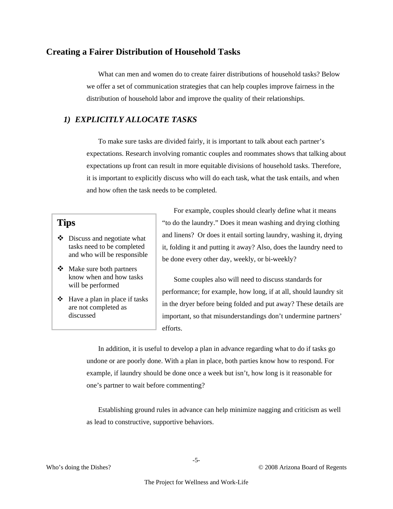#### **Creating a Fairer Distribution of Household Tasks**

What can men and women do to create fairer distributions of household tasks? Below we offer a set of communication strategies that can help couples improve fairness in the distribution of household labor and improve the quality of their relationships.

## *1) EXPLICITLY ALLOCATE TASKS*

To make sure tasks are divided fairly, it is important to talk about each partner's expectations. Research involving romantic couples and roommates shows that talking about expectations up front can result in more equitable divisions of household tasks. Therefore, it is important to explicitly discuss who will do each task, what the task entails, and when and how often the task needs to be completed.

## **Tips**

- $\triangle$  Discuss and negotiate what tasks need to be completed and who will be responsible
- Make sure both partners know when and how tasks will be performed
- $\triangleleft$  Have a plan in place if tasks are not completed as discussed

For example, couples should clearly define what it means "to do the laundry." Does it mean washing and drying clothing and linens? Or does it entail sorting laundry, washing it, drying it, folding it and putting it away? Also, does the laundry need to be done every other day, weekly, or bi-weekly?

Some couples also will need to discuss standards for performance; for example, how long, if at all, should laundry sit in the dryer before being folded and put away? These details are important, so that misunderstandings don't undermine partners' efforts.

In addition, it is useful to develop a plan in advance regarding what to do if tasks go undone or are poorly done. With a plan in place, both parties know how to respond. For example, if laundry should be done once a week but isn't, how long is it reasonable for one's partner to wait before commenting?

Establishing ground rules in advance can help minimize nagging and criticism as well as lead to constructive, supportive behaviors.

-5-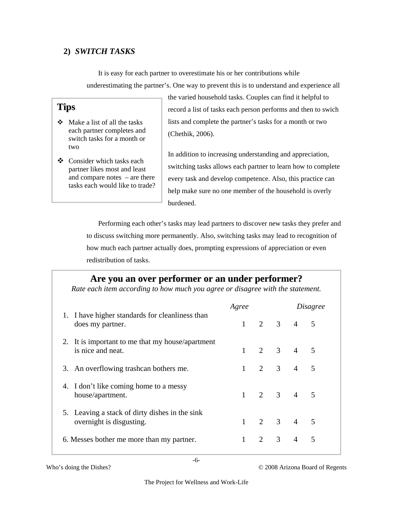## **2)** *SWITCH TASKS*

It is easy for each partner to overestimate his or her contributions while underestimating the partner's. One way to prevent this is to understand and experience all

## **Tips**

- $\triangleleft$  Make a list of all the tasks each partner completes and switch tasks for a month or two
- Consider which tasks each partner likes most and least and compare notes – are there tasks each would like to trade?

the varied household tasks. Couples can find it helpful to record a list of tasks each person performs and then to swich lists and complete the partner's tasks for a month or two (Chethik, 2006).

In addition to increasing understanding and appreciation, switching tasks allows each partner to learn how to complete every task and develop competence. Also, this practice can help make sure no one member of the household is overly burdened.

Performing each other's tasks may lead partners to discover new tasks they prefer and to discuss switching more permanently. Also, switching tasks may lead to recognition of how much each partner actually does, prompting expressions of appreciation or even redistribution of tasks.

# **Are you an over performer or an under performer?**

*Rate each item according to how much you agree or disagree with the statement.* 

|                                                                            | Agree |  | <i>Disagree</i> |                     |  |
|----------------------------------------------------------------------------|-------|--|-----------------|---------------------|--|
| 1. I have higher standards for cleanliness than<br>does my partner.        |       |  |                 | $1 \t2 \t3 \t4 \t5$ |  |
| 2. It is important to me that my house/apartment<br>is nice and neat.      |       |  |                 | $1 \t2 \t3 \t4 \t5$ |  |
| 3. An overflowing trashcan bothers me.                                     |       |  |                 | $1 \t2 \t3 \t4 \t5$ |  |
| 4. I don't like coming home to a messy<br>house/apartment.                 |       |  |                 | $1 \t2 \t3 \t4 \t5$ |  |
| 5. Leaving a stack of dirty dishes in the sink<br>overnight is disgusting. |       |  |                 | $1 \t2 \t3 \t4 \t5$ |  |
| 6. Messes bother me more than my partner.                                  |       |  |                 | 2 3 4 5             |  |

-6-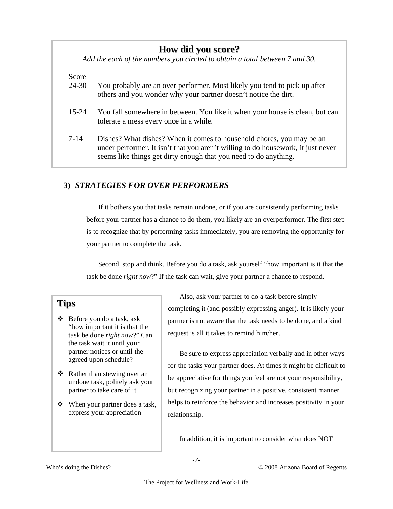# **How did you score?**

*Add the each of the numbers you circled to obtain a total between 7 and 30.* 

#### Score

- 24-30 You probably are an over performer. Most likely you tend to pick up after others and you wonder why your partner doesn't notice the dirt.
- 15-24 You fall somewhere in between. You like it when your house is clean, but can tolerate a mess every once in a while.
- 7-14 Dishes? What dishes? When it comes to household chores, you may be an under performer. It isn't that you aren't willing to do housework, it just never seems like things get dirty enough that you need to do anything.

## **3)** *STRATEGIES FOR OVER PERFORMERS*

If it bothers you that tasks remain undone, or if you are consistently performing tasks before your partner has a chance to do them, you likely are an overperformer. The first step is to recognize that by performing tasks immediately, you are removing the opportunity for your partner to complete the task.

Second, stop and think. Before you do a task, ask yourself "how important is it that the task be done *right now*?" If the task can wait, give your partner a chance to respond.

## **Tips**

- $\triangle$  Before you do a task, ask "how important it is that the task be done *right now*?" Can the task wait it until your partner notices or until the agreed upon schedule?
- Rather than stewing over an undone task, politely ask your partner to take care of it
- When your partner does a task, express your appreciation

Also, ask your partner to do a task before simply completing it (and possibly expressing anger). It is likely your partner is not aware that the task needs to be done, and a kind request is all it takes to remind him/her.

Be sure to express appreciation verbally and in other ways for the tasks your partner does. At times it might be difficult to be appreciative for things you feel are not your responsibility, but recognizing your partner in a positive, consistent manner helps to reinforce the behavior and increases positivity in your relationship.

In addition, it is important to consider what does NOT

-7-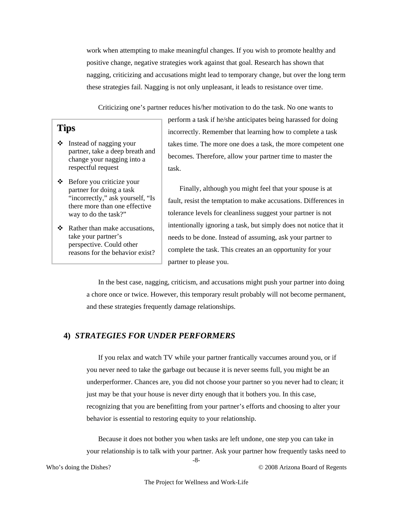work when attempting to make meaningful changes. If you wish to promote healthy and positive change, negative strategies work against that goal. Research has shown that nagging, criticizing and accusations might lead to temporary change, but over the long term these strategies fail. Nagging is not only unpleasant, it leads to resistance over time.

Criticizing one's partner reduces his/her motivation to do the task. No one wants to

## **Tips**

- $\triangleleft$  Instead of nagging your partner, take a deep breath and change your nagging into a respectful request
- Before you criticize your partner for doing a task "incorrectly," ask yourself, "Is there more than one effective way to do the task?"
- $\triangleleft$  Rather than make accusations, take your partner's perspective. Could other reasons for the behavior exist?

perform a task if he/she anticipates being harassed for doing incorrectly. Remember that learning how to complete a task takes time. The more one does a task, the more competent one becomes. Therefore, allow your partner time to master the task.

Finally, although you might feel that your spouse is at fault, resist the temptation to make accusations. Differences in tolerance levels for cleanliness suggest your partner is not intentionally ignoring a task, but simply does not notice that it needs to be done. Instead of assuming, ask your partner to complete the task. This creates an an opportunity for your partner to please you.

In the best case, nagging, criticism, and accusations might push your partner into doing a chore once or twice. However, this temporary result probably will not become permanent, and these strategies frequently damage relationships.

#### **4)** *STRATEGIES FOR UNDER PERFORMERS*

If you relax and watch TV while your partner frantically vaccumes around you, or if you never need to take the garbage out because it is never seems full, you might be an underperformer. Chances are, you did not choose your partner so you never had to clean; it just may be that your house is never dirty enough that it bothers you. In this case, recognizing that you are benefitting from your partner's efforts and choosing to alter your behavior is essential to restoring equity to your relationship.

-8- Because it does not bother you when tasks are left undone, one step you can take in your relationship is to talk with your partner. Ask your partner how frequently tasks need to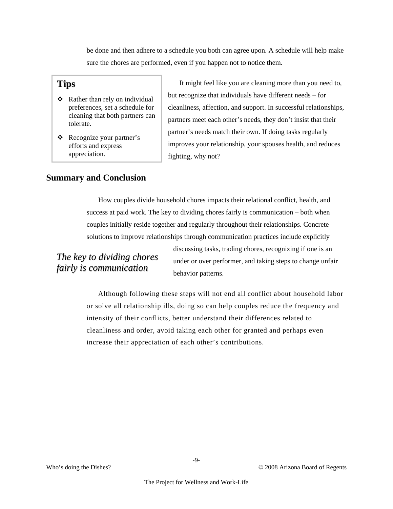be done and then adhere to a schedule you both can agree upon. A schedule will help make sure the chores are performed, even if you happen not to notice them.

## **Tips**

- Rather than rely on individual preferences, set a schedule for cleaning that both partners can tolerate.
- Recognize your partner's efforts and express appreciation.

It might feel like you are cleaning more than you need to, but recognize that individuals have different needs – for cleanliness, affection, and support. In successful relationships, partners meet each other's needs, they don't insist that their partner's needs match their own. If doing tasks regularly improves your relationship, your spouses health, and reduces fighting, why not?

## **Summary and Conclusion**

How couples divide household chores impacts their relational conflict, health, and success at paid work. The key to dividing chores fairly is communication – both when couples initially reside together and regularly throughout their relationships. Concrete solutions to improve relationships through communication practices include explicitly

# *The key to dividing chores fairly is communication*

discussing tasks, trading chores, recognizing if one is an under or over performer, and taking steps to change unfair behavior patterns.

Although following these steps will not end all conflict about household labor or solve all relationship ills, doing so can help couples reduce the frequency and intensity of their conflicts, better understand their differences related to cleanliness and order, avoid taking each other for granted and perhaps even increase their appreciation of each other's contributions.

-9-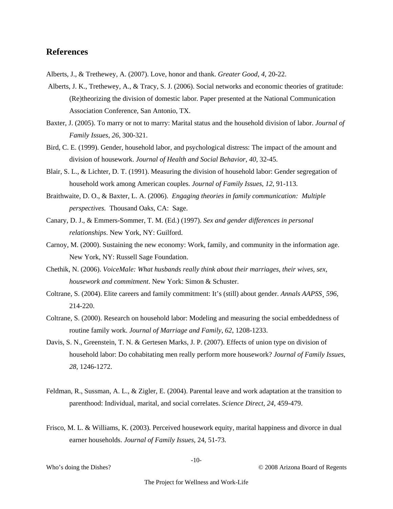#### **References**

- Alberts, J., & Trethewey, A. (2007). Love, honor and thank. *Greater Good*, *4*, 20-22.
- Alberts, J. K., Trethewey, A., & Tracy, S. J. (2006). Social networks and economic theories of gratitude: (Re)theorizing the division of domestic labor. Paper presented at the National Communication Association Conference, San Antonio, TX.
- Baxter, J. (2005). To marry or not to marry: Marital status and the household division of labor. *Journal of Family Issues*, *26*, 300-321.
- Bird, C. E. (1999). Gender, household labor, and psychological distress: The impact of the amount and division of housework. *Journal of Health and Social Behavior, 40,* 32-45.
- Blair, S. L., & Lichter, D. T. (1991). Measuring the division of household labor: Gender segregation of household work among American couples. *Journal of Family Issues*, *12*, 91-113.
- Braithwaite, D. O., & Baxter, L. A. (2006). *Engaging theories in family communication: Multiple perspectives.* Thousand Oaks, CA: Sage.
- Canary, D. J., & Emmers-Sommer, T. M. (Ed.) (1997). *Sex and gender differences in personal relationships*. New York, NY: Guilford.
- Carnoy, M. (2000). Sustaining the new economy: Work, family, and community in the information age. New York, NY: Russell Sage Foundation.
- Chethik, N. (2006). *VoiceMale: What husbands really think about their marriages, their wives, sex, housework and commitment*. New York: Simon & Schuster.
- Coltrane, S. (2004). Elite careers and family commitment: It's (still) about gender. *Annals AAPSS*¸ *596,*  214-220.
- Coltrane, S. (2000). Research on household labor: Modeling and measuring the social embeddedness of routine family work. *Journal of Marriage and Family*, *62*, 1208-1233.
- Davis, S. N., Greenstein, T. N. & Gertesen Marks, J. P. (2007). Effects of union type on division of household labor: Do cohabitating men really perform more housework? *Journal of Family Issues*, *28*, 1246-1272.
- Feldman, R., Sussman, A. L., & Zigler, E. (2004). Parental leave and work adaptation at the transition to parenthood: Individual, marital, and social correlates. *Science Direct, 24*, 459-479.
- Frisco, M. L. & Williams, K. (2003). Perceived housework equity, marital happiness and divorce in dual earner households. *Journal of Family Issues*, 24, 51-73.

-10-